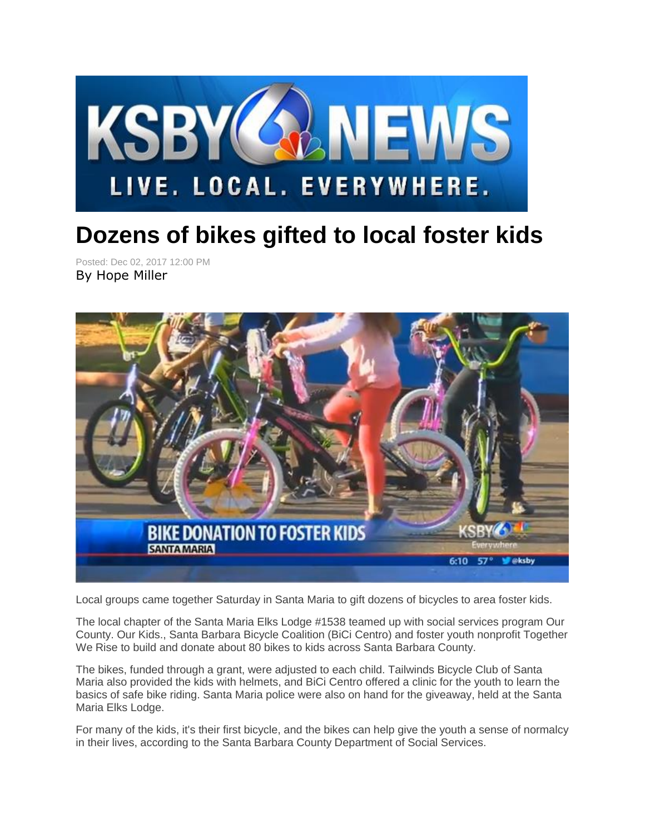

## **Dozens of bikes gifted to local foster kids**

Posted: Dec 02, 2017 12:00 PM By Hope Miller



Local groups came together Saturday in Santa Maria to gift dozens of bicycles to area foster kids.

The local chapter of the Santa Maria Elks Lodge #1538 teamed up with social services program Our County. Our Kids., Santa Barbara Bicycle Coalition (BiCi Centro) and foster youth nonprofit Together We Rise to build and donate about 80 bikes to kids across Santa Barbara County.

The bikes, funded through a grant, were adjusted to each child. Tailwinds Bicycle Club of Santa Maria also provided the kids with helmets, and BiCi Centro offered a clinic for the youth to learn the basics of safe bike riding. Santa Maria police were also on hand for the giveaway, held at the Santa Maria Elks Lodge.

For many of the kids, it's their first bicycle, and the bikes can help give the youth a sense of normalcy in their lives, according to the Santa Barbara County Department of Social Services.